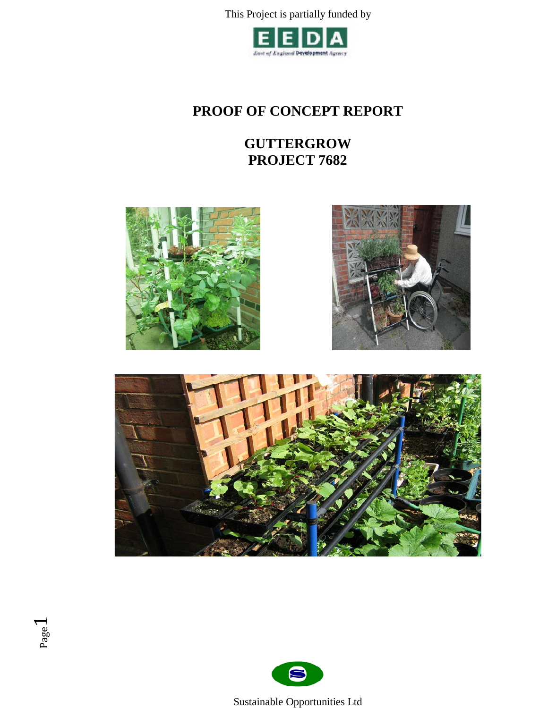

# **PROOF OF CONCEPT REPORT**

# **GUTTERGROW PROJECT 7682**







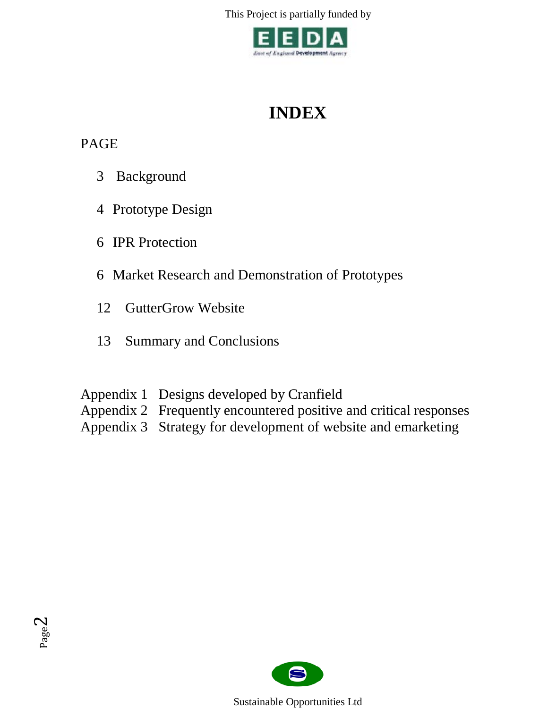

# **INDEX**

# PAGE

- 3 Background
- 4 Prototype Design
- 6 IPR Protection
- 6 Market Research and Demonstration of Prototypes
- 12 GutterGrow Website
- 13 Summary and Conclusions
- Appendix 1 Designs developed by Cranfield
- Appendix 2 Frequently encountered positive and critical responses
- Appendix 3 Strategy for development of website and emarketing



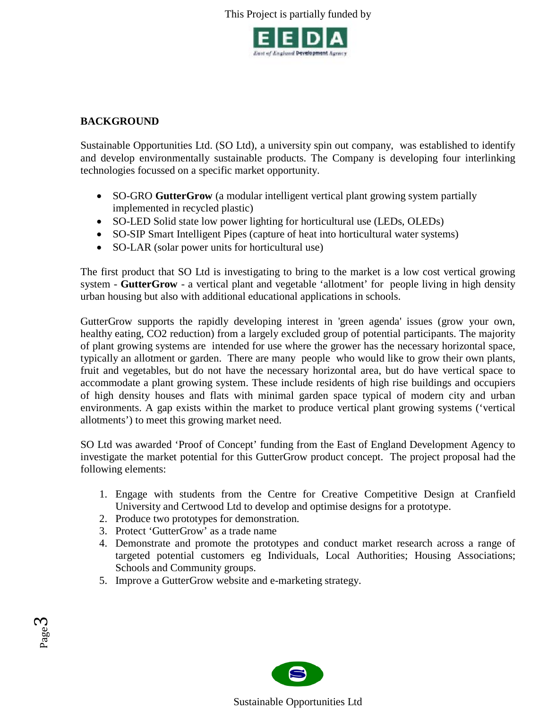

# **BACKGROUND**

Sustainable Opportunities Ltd. (SO Ltd), a university spin out company, was established to identify and develop environmentally sustainable products. The Company is developing four interlinking technologies focussed on a specific market opportunity.

- SO-GRO **GutterGrow** (a modular intelligent vertical plant growing system partially implemented in recycled plastic[\)](http://www.sustainable-opportunities.com/detail.php?id=29)
- [SO-LED Solid state low power lighting for horticultural use \(LEDs, OLEDs\)](http://www.sustainable-opportunities.com/detail.php?id=29)
- SO-SIP Smart Intelligent Pipes (capture of heat into horticultural water systems)
- SO-LAR (solar power units for horticultural use)

The first product that SO Ltd is investigating to bring to the market is a low cost vertical growing system - **GutterGrow** - a vertical plant and vegetable 'allotment' for people living in high density urban housing but also with additional educational applications in schools.

GutterGrow supports the rapidly developing interest in 'green agenda' issues (grow your own, healthy eating, CO2 reduction) from a largely excluded group of potential participants. The majority of plant growing systems are intended for use where the grower has the necessary horizontal space, typically an allotment or garden. There are many people who would like to grow their own plants, fruit and vegetables, but do not have the necessary horizontal area, but do have vertical space to accommodate a plant growing system. These include residents of high rise buildings and occupiers of high density houses and flats with minimal garden space typical of modern city and urban environments. A gap exists within the market to produce vertical plant growing systems ('vertical allotments') to meet this growing market need.

SO Ltd was awarded 'Proof of Concept' funding from the East of England Development Agency to investigate the market potential for this GutterGrow product concept. The project proposal had the following elements:

- 1. Engage with students from the Centre for Creative Competitive Design at Cranfield University and Certwood Ltd to develop and optimise designs for a prototype.
- 2. Produce two prototypes for demonstration.
- 3. Protect 'GutterGrow' as a trade name
- 4. Demonstrate and promote the prototypes and conduct market research across a range of targeted potential customers eg Individuals, Local Authorities; Housing Associations; Schools and Community groups.
- 5. Improve a GutterGrow website and e-marketing strategy.



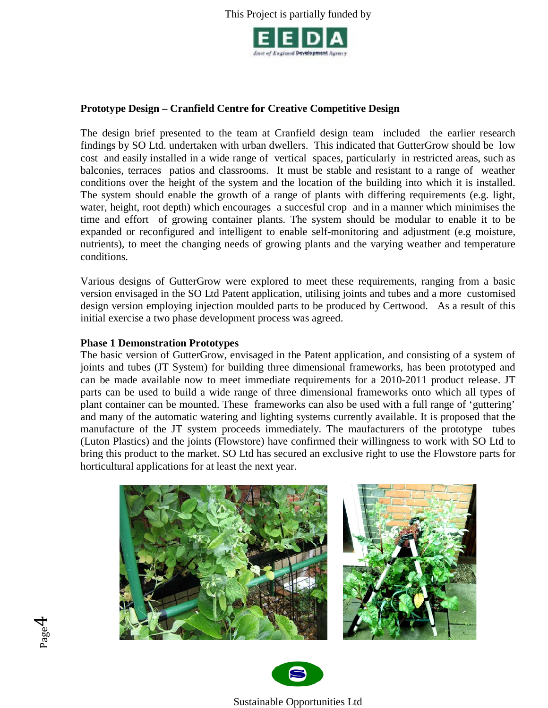

# **Prototype Design – Cranfield Centre for Creative Competitive Design**

The design brief presented to the team at Cranfield design team included the earlier research findings by SO Ltd. undertaken with urban dwellers. This indicated that GutterGrow should be low cost and easily installed in a wide range of vertical spaces, particularly in restricted areas, such as balconies, terraces patios and classrooms. It must be stable and resistant to a range of weather conditions over the height of the system and the location of the building into which it is installed. The system should enable the growth of a range of plants with differing requirements (e.g. light, water, height, root depth) which encourages a succesful crop and in a manner which minimises the time and effort of growing container plants. The system should be modular to enable it to be expanded or reconfigured and intelligent to enable self-monitoring and adjustment (e.g moisture, nutrients), to meet the changing needs of growing plants and the varying weather and temperature conditions.

Various designs of GutterGrow were explored to meet these requirements, ranging from a basic version envisaged in the SO Ltd Patent application, utilising joints and tubes and a more customised design version employing injection moulded parts to be produced by Certwood. As a result of this initial exercise a two phase development process was agreed.

#### **Phase 1 Demonstration Prototypes**

The basic version of GutterGrow, envisaged in the Patent application, and consisting of a system of joints and tubes (JT System) for building three dimensional frameworks, has been prototyped and can be made available now to meet immediate requirements for a 2010-2011 product release. JT parts can be used to build a wide range of three dimensional frameworks onto which all types of plant container can be mounted. These frameworks can also be used with a full range of 'guttering' and many of the automatic watering and lighting systems currently available. It is proposed that the manufacture of the JT system proceeds immediately. The maufacturers of the prototype tubes (Luton Plastics) and the joints (Flowstore) have confirmed their willingness to work with SO Ltd to bring this product to the market. SO Ltd has secured an exclusive right to use the Flowstore parts for horticultural applications for at least the next year.



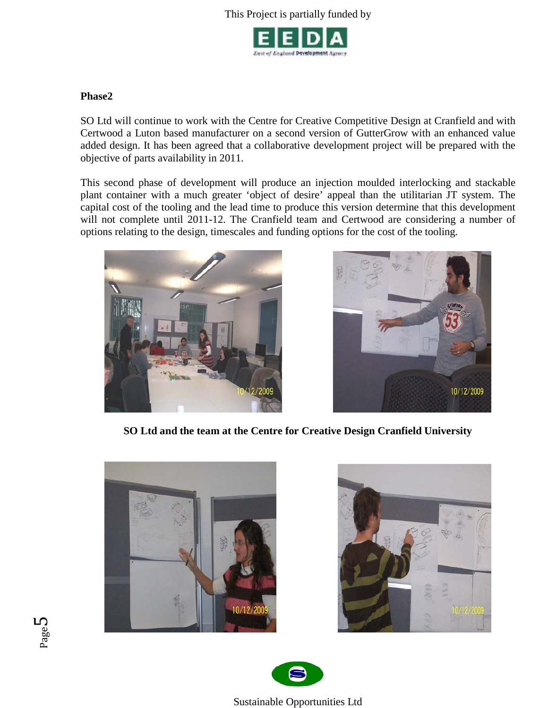

## **Phase2**

SO Ltd will continue to work with the Centre for Creative Competitive Design at Cranfield and with Certwood a Luton based manufacturer on a second version of GutterGrow with an enhanced value added design. It has been agreed that a collaborative development project will be prepared with the objective of parts availability in 2011.

This second phase of development will produce an injection moulded interlocking and stackable plant container with a much greater 'object of desire' appeal than the utilitarian JT system. The capital cost of the tooling and the lead time to produce this version determine that this development will not complete until 2011-12. The Cranfield team and Certwood are considering a number of options relating to the design, timescales and funding options for the cost of the tooling.





**SO Ltd and the team at the Centre for Creative Design Cranfield University**







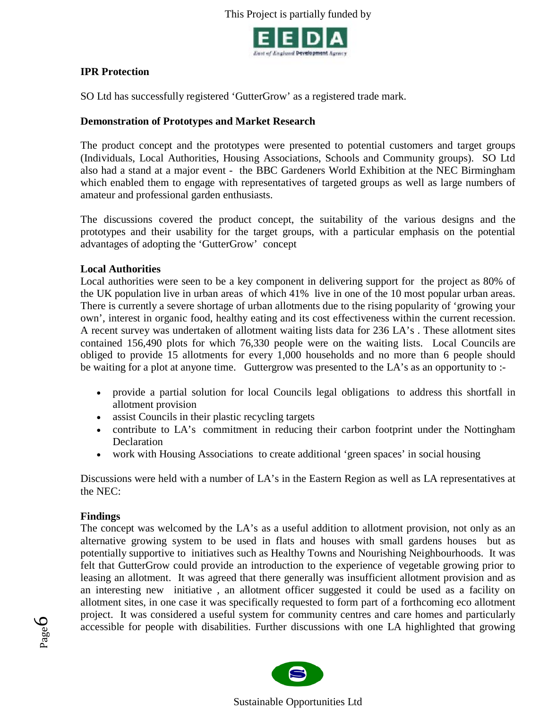

# **IPR Protection**

SO Ltd has successfully registered 'GutterGrow' as a registered trade mark.

## **Demonstration of Prototypes and Market Research**

The product concept and the prototypes were presented to potential customers and target groups (Individuals, Local Authorities, Housing Associations, Schools and Community groups). SO Ltd also had a stand at a major event - the BBC Gardeners World Exhibition at the NEC Birmingham which enabled them to engage with representatives of targeted groups as well as large numbers of amateur and professional garden enthusiasts.

The discussions covered the product concept, the suitability of the various designs and the prototypes and their usability for the target groups, with a particular emphasis on the potential advantages of adopting the 'GutterGrow' concept

#### **Local Authorities**

Local authorities were seen to be a key component in delivering support for the project as 80% of the UK population live in urban areas of which 41% live in one of the 10 most popular urban areas. There is currently a severe shortage of urban allotments due to the rising popularity of 'growing your own', interest in organic food, healthy eating and its cost effectiveness within the current recession. A recent survey was undertaken of allotment waiting lists data for 236 LA's . These allotment sites contained 156,490 plots for which 76,330 people were on the waiting lists. Local Councils are obliged to provide 15 allotments for every 1,000 households and no more than 6 people should be waiting for a plot at anyone time. Guttergrow was presented to the LA's as an opportunity to :-

- provide a partial solution for local Councils legal obligations to address this shortfall in allotment provision
- assist Councils in their plastic recycling targets
- contribute to LA's commitment in reducing their carbon footprint under the Nottingham Declaration
- work with Housing Associations to create additional 'green spaces' in social housing

Discussions were held with a number of LA's in the Eastern Region as well as LA representatives at the NEC:

#### **Findings**

The concept was welcomed by the LA's as a useful addition to allotment provision, not only as an alternative growing system to be used in flats and houses with small gardens houses but as potentially supportive to initiatives such as Healthy Towns and Nourishing Neighbourhoods. It was felt that GutterGrow could provide an introduction to the experience of vegetable growing prior to leasing an allotment. It was agreed that there generally was insufficient allotment provision and as an interesting new initiative , an allotment officer suggested it could be used as a facility on allotment sites, in one case it was specifically requested to form part of a forthcoming eco allotment project. It was considered a useful system for community centres and care homes and particularly accessible for people with disabilities. Further discussions with one LA highlighted that growing



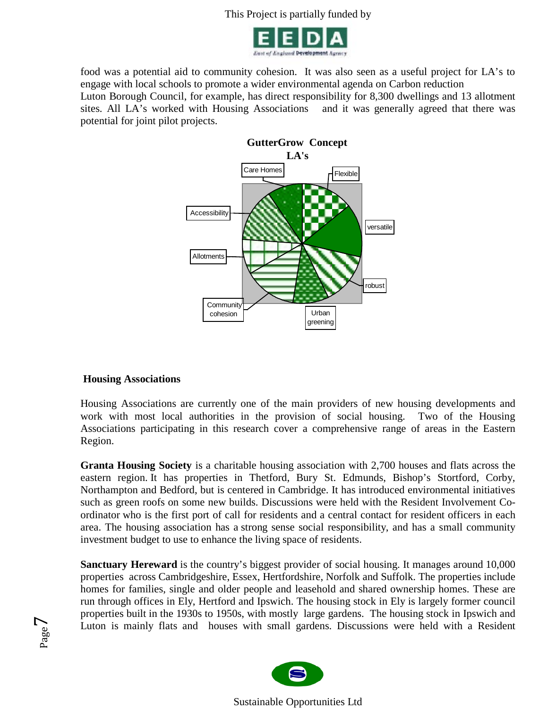

food was a potential aid to community cohesion. It was also seen as a useful project for LA's to engage with local schools to promote a wider environmental agenda on Carbon reduction Luton Borough Council, for example, has direct responsibility for 8,300 dwellings and 13 allotment

sites. All LA's worked with Housing Associations and it was generally agreed that there was potential for joint pilot projects.



#### **Housing Associations**

Page  $\blacktriangledown$ 

Housing Associations are currently one of the main providers of new housing developments and work with most local authorities in the provision of social housing. Two of the Housing Associations participating in this research cover a comprehensive range of areas in the Eastern Region.

**Granta Housing Society** is a charitable housing association with 2,700 houses and flats across the eastern region. It has properties in Thetford, Bury St. Edmunds, Bishop's Stortford, Corby, Northampton and Bedford, but is centered in Cambridge. It has introduced environmental initiatives such as green roofs on some new builds. Discussions were held with the Resident Involvement Coordinator who is the first port of call for residents and a central contact for resident officers in each area. The housing association has a strong sense social responsibility, and has a small community investment budget to use to enhance the living space of residents.

**Sanctuary Hereward** is the country's biggest provider of social housing. It manages around 10,000 properties across Cambridgeshire, Essex, Hertfordshire, Norfolk and Suffolk. The properties include homes for families, single and older people and leasehold and shared ownership homes. These are run through offices in Ely, Hertford and Ipswich. The housing stock in Ely is largely former council properties built in the 1930s to 1950s, with mostly large gardens. The housing stock in Ipswich and Luton is mainly flats and houses with small gardens. Discussions were held with a Resident

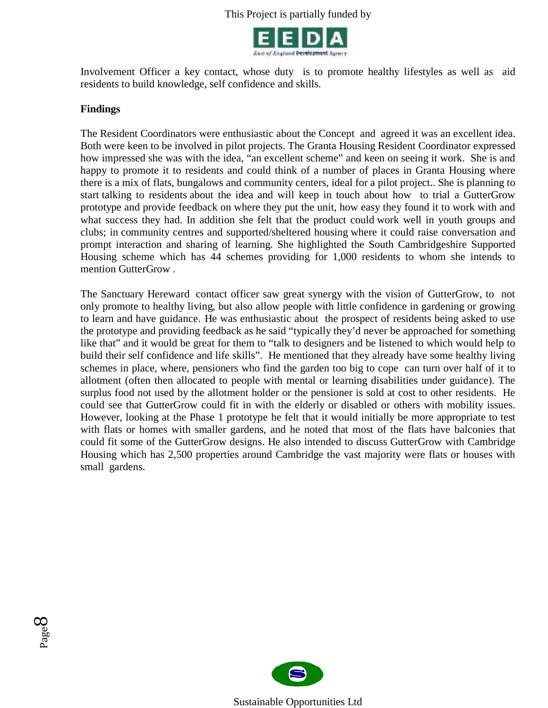

Involvement Officer a key contact, whose duty is to promote healthy lifestyles as well as aid residents to build knowledge, self confidence and skills.

#### **Findings**

The Resident Coordinators were enthusiastic about the Concept and agreed it was an excellent idea. Both were keen to be involved in pilot projects. The Granta Housing Resident Coordinator expressed how impressed she was with the idea, "an excellent scheme" and keen on seeing it work. She is and happy to promote it to residents and could think of a number of places in Granta Housing where there is a mix of flats, bungalows and community centers, ideal for a pilot project.. She is planning to start talking to residents about the idea and will keep in touch about how to trial a GutterGrow prototype and provide feedback on where they put the unit, how easy they found it to work with and what success they had. In addition she felt that the product could work well in youth groups and clubs; in community centres and supported/sheltered housing where it could raise conversation and prompt interaction and sharing of learning. She highlighted the South Cambridgeshire Supported Housing scheme which has 44 schemes providing for 1,000 residents to whom she intends to mention GutterGrow .

The Sanctuary Hereward contact officer saw great synergy with the vision of GutterGrow, to not only promote to healthy living, but also allow people with little confidence in gardening or growing to learn and have guidance. He was enthusiastic about the prospect of residents being asked to use the prototype and providing feedback as he said "typically they'd never be approached for something like that" and it would be great for them to "talk to designers and be listened to which would help to build their self confidence and life skills". He mentioned that they already have some healthy living schemes in place, where, pensioners who find the garden too big to cope can turn over half of it to allotment (often then allocated to people with mental or learning disabilities under guidance). The surplus food not used by the allotment holder or the pensioner is sold at cost to other residents. He could see that GutterGrow could fit in with the elderly or disabled or others with mobility issues. However, looking at the Phase 1 prototype he felt that it would initially be more appropriate to test with flats or homes with smaller gardens, and he noted that most of the flats have balconies that could fit some of the GutterGrow designs. He also intended to discuss GutterGrow with Cambridge Housing which has 2,500 properties around Cambridge the vast majority were flats or houses with small gardens.



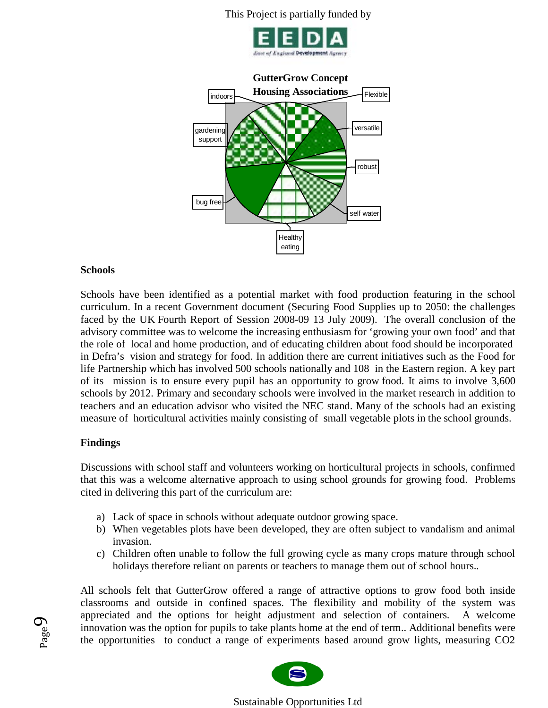



#### **Schools**

Schools have been identified as a potential market with food production featuring in the school curriculum. In a recent Government document (Securing Food Supplies up to 2050: the challenges faced by the UK Fourth Report of Session 2008-09 13 July 2009). The overall conclusion of the advisory committee was to welcome the increasing enthusiasm for 'growing your own food' and that the role of local and home production, and of educating children about food should be incorporated in Defra's vision and strategy for food. In addition there are current initiatives such as the Food for life Partnership which has involved 500 schools nationally and 108 in the Eastern region. A key part of its mission is to ensure every pupil has an opportunity to grow food. It aims to involve 3,600 schools by 2012. Primary and secondary schools were involved in the market research in addition to teachers and an education advisor who visited the NEC stand. Many of the schools had an existing measure of horticultural activities mainly consisting of small vegetable plots in the school grounds.

#### **Findings**

Page  $\sigma$ 

Discussions with school staff and volunteers working on horticultural projects in schools, confirmed that this was a welcome alternative approach to using school grounds for growing food. Problems cited in delivering this part of the curriculum are:

- a) Lack of space in schools without adequate outdoor growing space.
- b) When vegetables plots have been developed, they are often subject to vandalism and animal invasion.
- c) Children often unable to follow the full growing cycle as many crops mature through school holidays therefore reliant on parents or teachers to manage them out of school hours..

All schools felt that GutterGrow offered a range of attractive options to grow food both inside classrooms and outside in confined spaces. The flexibility and mobility of the system was appreciated and the options for height adjustment and selection of containers. A welcome innovation was the option for pupils to take plants home at the end of term.. Additional benefits were the opportunities to conduct a range of experiments based around grow lights, measuring CO2

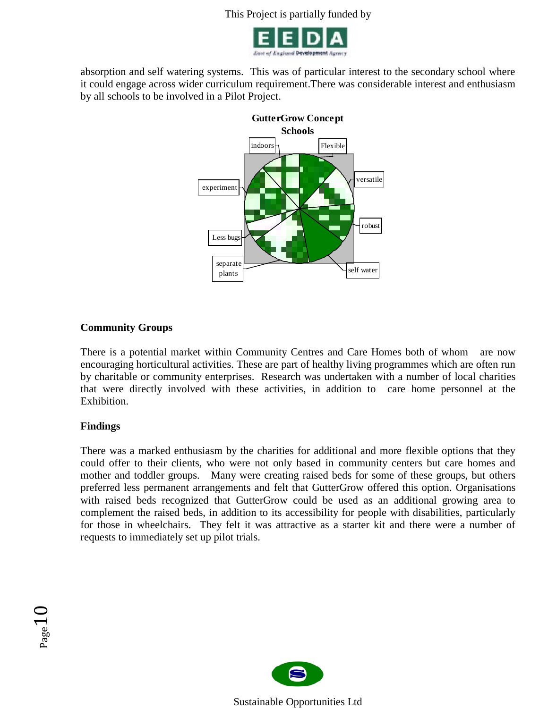

absorption and self watering systems. This was of particular interest to the secondary school where it could engage across wider curriculum requirement.There was considerable interest and enthusiasm by all schools to be involved in a Pilot Project.



# **Community Groups**

There is a potential market within Community Centres and Care Homes both of whom are now encouraging horticultural activities. These are part of healthy living programmes which are often run by charitable or community enterprises. Research was undertaken with a number of local charities that were directly involved with these activities, in addition to care home personnel at the Exhibition.

# **Findings**

There was a marked enthusiasm by the charities for additional and more flexible options that they could offer to their clients, who were not only based in community centers but care homes and mother and toddler groups. Many were creating raised beds for some of these groups, but others preferred less permanent arrangements and felt that GutterGrow offered this option. Organisations with raised beds recognized that GutterGrow could be used as an additional growing area to complement the raised beds, in addition to its accessibility for people with disabilities, particularly for those in wheelchairs. They felt it was attractive as a starter kit and there were a number of requests to immediately set up pilot trials.



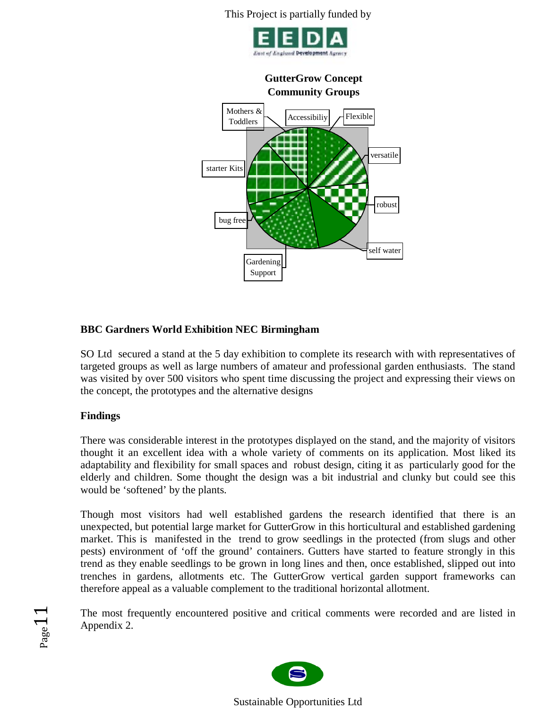



# **BBC Gardners World Exhibition NEC Birmingham**

SO Ltd secured a stand at the 5 day exhibition to complete its research with with representatives of targeted groups as well as large numbers of amateur and professional garden enthusiasts. The stand was visited by over 500 visitors who spent time discussing the project and expressing their views on the concept, the prototypes and the alternative designs

# **Findings**

Page<sub>1</sub>

There was considerable interest in the prototypes displayed on the stand, and the majority of visitors thought it an excellent idea with a whole variety of comments on its application. Most liked its adaptability and flexibility for small spaces and robust design, citing it as particularly good for the elderly and children. Some thought the design was a bit industrial and clunky but could see this would be 'softened' by the plants.

Though most visitors had well established gardens the research identified that there is an unexpected, but potential large market for GutterGrow in this horticultural and established gardening market. This is manifested in the trend to grow seedlings in the protected (from slugs and other pests) environment of 'off the ground' containers. Gutters have started to feature strongly in this trend as they enable seedlings to be grown in long lines and then, once established, slipped out into trenches in gardens, allotments etc. The GutterGrow vertical garden support frameworks can therefore appeal as a valuable complement to the traditional horizontal allotment.

The most frequently encountered positive and critical comments were recorded and are listed in Appendix 2.

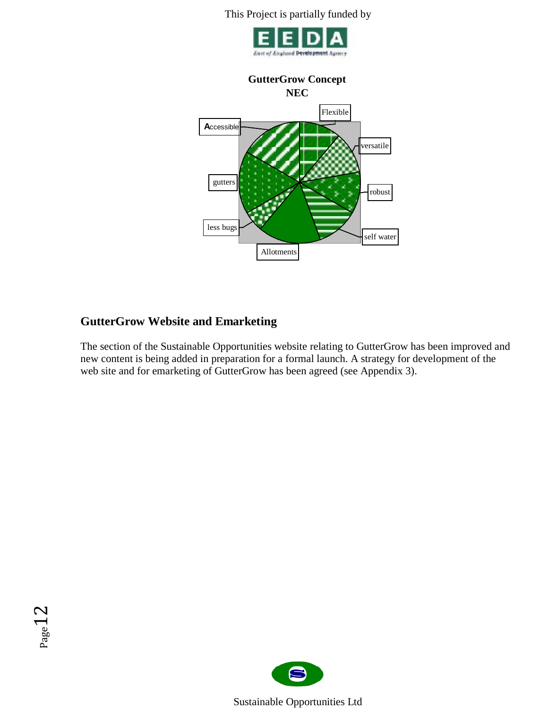

# **GutterGrow Concept**



# **GutterGrow Website and Emarketing**

The section of the Sustainable Opportunities website relating to GutterGrow has been improved and new content is being added in preparation for a formal launch. A strategy for development of the web site and for emarketing of GutterGrow has been agreed (see Appendix 3).



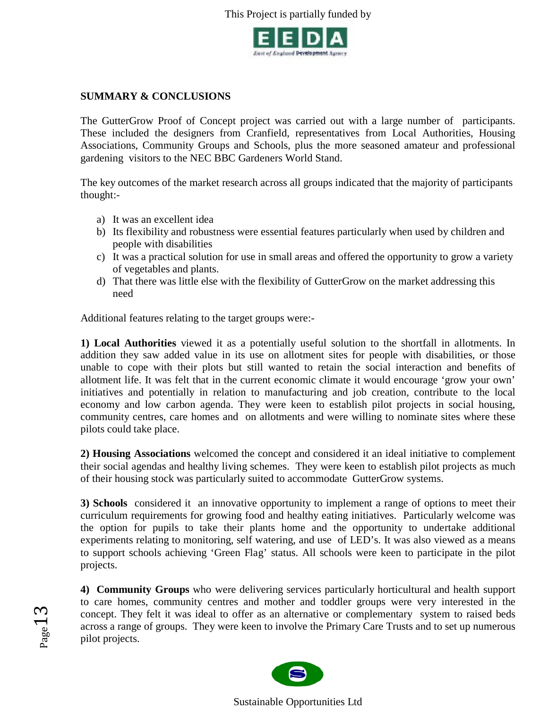

# **SUMMARY & CONCLUSIONS**

The GutterGrow Proof of Concept project was carried out with a large number of participants. These included the designers from Cranfield, representatives from Local Authorities, Housing Associations, Community Groups and Schools, plus the more seasoned amateur and professional gardening visitors to the NEC BBC Gardeners World Stand.

The key outcomes of the market research across all groups indicated that the majority of participants thought:-

a) It was an excellent idea

 $_{\rm Page}13$ 

- b) Its flexibility and robustness were essential features particularly when used by children and people with disabilities
- c) It was a practical solution for use in small areas and offered the opportunity to grow a variety of vegetables and plants.
- d) That there was little else with the flexibility of GutterGrow on the market addressing this need

Additional features relating to the target groups were:-

**1) Local Authorities** viewed it as a potentially useful solution to the shortfall in allotments. In addition they saw added value in its use on allotment sites for people with disabilities, or those unable to cope with their plots but still wanted to retain the social interaction and benefits of allotment life. It was felt that in the current economic climate it would encourage 'grow your own' initiatives and potentially in relation to manufacturing and job creation, contribute to the local economy and low carbon agenda. They were keen to establish pilot projects in social housing, community centres, care homes and on allotments and were willing to nominate sites where these pilots could take place.

**2) Housing Associations** welcomed the concept and considered it an ideal initiative to complement their social agendas and healthy living schemes. They were keen to establish pilot projects as much of their housing stock was particularly suited to accommodate GutterGrow systems.

**3) Schools** considered it an innovative opportunity to implement a range of options to meet their curriculum requirements for growing food and healthy eating initiatives. Particularly welcome was the option for pupils to take their plants home and the opportunity to undertake additional experiments relating to monitoring, self watering, and use of LED's. It was also viewed as a means to support schools achieving 'Green Flag' status. All schools were keen to participate in the pilot projects.

**4) Community Groups** who were delivering services particularly horticultural and health support to care homes, community centres and mother and toddler groups were very interested in the concept. They felt it was ideal to offer as an alternative or complementary system to raised beds across a range of groups. They were keen to involve the Primary Care Trusts and to set up numerous pilot projects.

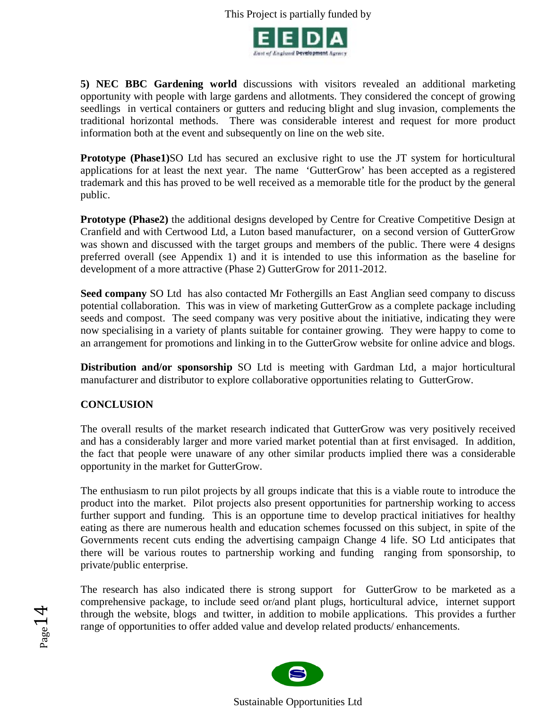

**5) NEC BBC Gardening world** discussions with visitors revealed an additional marketing opportunity with people with large gardens and allotments. They considered the concept of growing seedlings in vertical containers or gutters and reducing blight and slug invasion, complements the traditional horizontal methods. There was considerable interest and request for more product information both at the event and subsequently on line on the web site.

**Prototype (Phase1)**SO Ltd has secured an exclusive right to use the JT system for horticultural applications for at least the next year. The name 'GutterGrow' has been accepted as a registered trademark and this has proved to be well received as a memorable title for the product by the general public.

**Prototype (Phase2)** the additional designs developed by Centre for Creative Competitive Design at Cranfield and with Certwood Ltd, a Luton based manufacturer, on a second version of GutterGrow was shown and discussed with the target groups and members of the public. There were 4 designs preferred overall (see Appendix 1) and it is intended to use this information as the baseline for development of a more attractive (Phase 2) GutterGrow for 2011-2012.

**Seed company** SO Ltdhas also contacted Mr Fothergills an East Anglian seed company to discuss potential collaboration. This was in view of marketing GutterGrow as a complete package including seeds and compost. The seed company was very positive about the initiative, indicating they were now specialising in a variety of plants suitable for container growing. They were happy to come to an arrangement for promotions and linking in to the GutterGrow website for online advice and blogs.

**Distribution and/or sponsorship** SO Ltd is meeting with Gardman Ltd, a major horticultural manufacturer and distributor to explore collaborative opportunities relating to GutterGrow.

# **CONCLUSION**

Page 14

The overall results of the market research indicated that GutterGrow was very positively received and has a considerably larger and more varied market potential than at first envisaged. In addition, the fact that people were unaware of any other similar products implied there was a considerable opportunity in the market for GutterGrow.

The enthusiasm to run pilot projects by all groups indicate that this is a viable route to introduce the product into the market. Pilot projects also present opportunities for partnership working to access further support and funding. This is an opportune time to develop practical initiatives for healthy eating as there are numerous health and education schemes focussed on this subject, in spite of the Governments recent cuts ending the advertising campaign Change 4 life. SO Ltd anticipates that there will be various routes to partnership working and funding ranging from sponsorship, to private/public enterprise.

The research has also indicated there is strong support for GutterGrow to be marketed as a comprehensive package, to include seed or/and plant plugs, horticultural advice, internet support through the website, blogs and twitter, in addition to mobile applications. This provides a further range of opportunities to offer added value and develop related products/ enhancements.